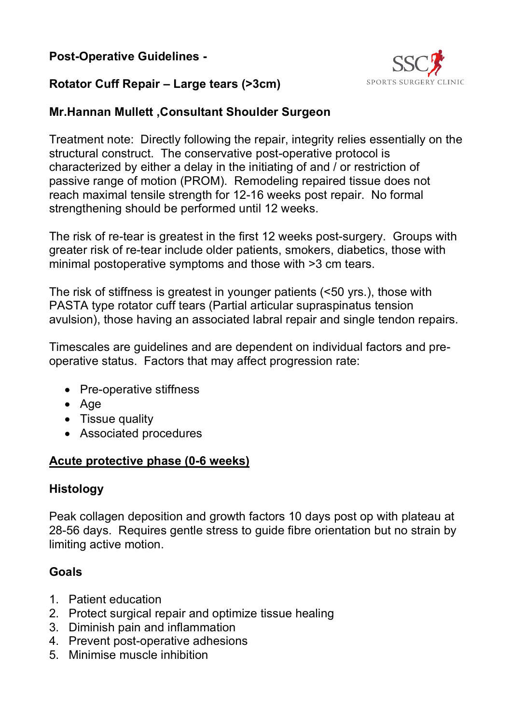### **Post-Operative Guidelines -**



### **Rotator Cuff Repair – Large tears (>3cm)**

#### **Mr.Hannan Mullett ,Consultant Shoulder Surgeon**

Treatment note: Directly following the repair, integrity relies essentially on the structural construct. The conservative post-operative protocol is characterized by either a delay in the initiating of and / or restriction of passive range of motion (PROM). Remodeling repaired tissue does not reach maximal tensile strength for 12-16 weeks post repair. No formal strengthening should be performed until 12 weeks.

The risk of re-tear is greatest in the first 12 weeks post-surgery. Groups with greater risk of re-tear include older patients, smokers, diabetics, those with minimal postoperative symptoms and those with >3 cm tears.

The risk of stiffness is greatest in younger patients (<50 yrs.), those with PASTA type rotator cuff tears (Partial articular supraspinatus tension avulsion), those having an associated labral repair and single tendon repairs.

Timescales are guidelines and are dependent on individual factors and preoperative status. Factors that may affect progression rate:

- Pre-operative stiffness
- Age
- Tissue quality
- Associated procedures

#### **Acute protective phase (0-6 weeks)**

#### **Histology**

Peak collagen deposition and growth factors 10 days post op with plateau at 28-56 days. Requires gentle stress to guide fibre orientation but no strain by limiting active motion.

#### **Goals**

- 1. Patient education
- 2. Protect surgical repair and optimize tissue healing
- 3. Diminish pain and inflammation
- 4. Prevent post-operative adhesions
- 5. Minimise muscle inhibition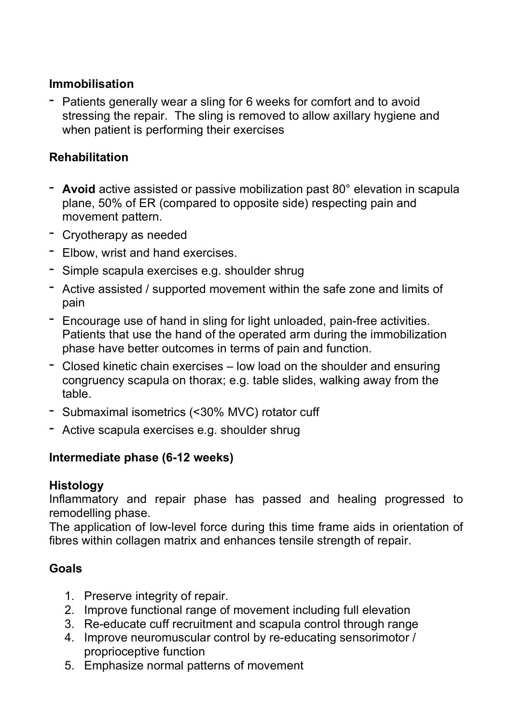#### **Immobilisation**

- Patients generally wear a sling for 6 weeks for comfort and to avoid stressing the repair. The sling is removed to allow axillary hygiene and when patient is performing their exercises

### **Rehabilitation**

- **Avoid** active assisted or passive mobilization past 80° elevation in scapula plane, 50% of ER (compared to opposite side) respecting pain and movement pattern.
- Cryotherapy as needed
- Elbow, wrist and hand exercises.
- Simple scapula exercises e.g. shoulder shrug
- Active assisted / supported movement within the safe zone and limits of pain
- Encourage use of hand in sling for light unloaded, pain-free activities. Patients that use the hand of the operated arm during the immobilization phase have better outcomes in terms of pain and function.
- Closed kinetic chain exercises low load on the shoulder and ensuring congruency scapula on thorax; e.g. table slides, walking away from the table.
- Submaximal isometrics (<30% MVC) rotator cuff
- Active scapula exercises e.g. shoulder shrug

#### **Intermediate phase (6-12 weeks)**

#### **Histology**

Inflammatory and repair phase has passed and healing progressed to remodelling phase.

The application of low-level force during this time frame aids in orientation of fibres within collagen matrix and enhances tensile strength of repair.

#### **Goals**

- 1. Preserve integrity of repair.
- 2. Improve functional range of movement including full elevation
- 3. Re-educate cuff recruitment and scapula control through range
- 4. Improve neuromuscular control by re-educating sensorimotor / proprioceptive function
- 5. Emphasize normal patterns of movement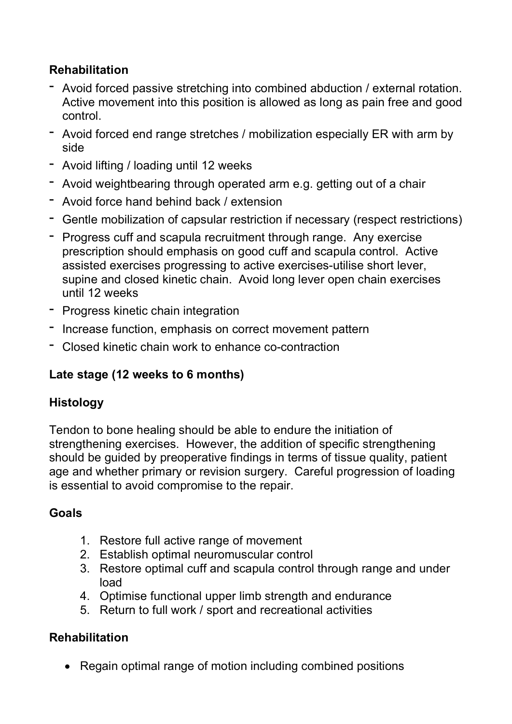## **Rehabilitation**

- Avoid forced passive stretching into combined abduction / external rotation. Active movement into this position is allowed as long as pain free and good control.
- Avoid forced end range stretches / mobilization especially ER with arm by side
- Avoid lifting / loading until 12 weeks
- Avoid weightbearing through operated arm e.g. getting out of a chair
- Avoid force hand behind back / extension
- Gentle mobilization of capsular restriction if necessary (respect restrictions)
- Progress cuff and scapula recruitment through range. Any exercise prescription should emphasis on good cuff and scapula control. Active assisted exercises progressing to active exercises-utilise short lever, supine and closed kinetic chain. Avoid long lever open chain exercises until 12 weeks
- Progress kinetic chain integration
- Increase function, emphasis on correct movement pattern
- Closed kinetic chain work to enhance co-contraction

## **Late stage (12 weeks to 6 months)**

## **Histology**

Tendon to bone healing should be able to endure the initiation of strengthening exercises. However, the addition of specific strengthening should be guided by preoperative findings in terms of tissue quality, patient age and whether primary or revision surgery. Careful progression of loading is essential to avoid compromise to the repair.

## **Goals**

- 1. Restore full active range of movement
- 2. Establish optimal neuromuscular control
- 3. Restore optimal cuff and scapula control through range and under load
- 4. Optimise functional upper limb strength and endurance
- 5. Return to full work / sport and recreational activities

## **Rehabilitation**

• Regain optimal range of motion including combined positions